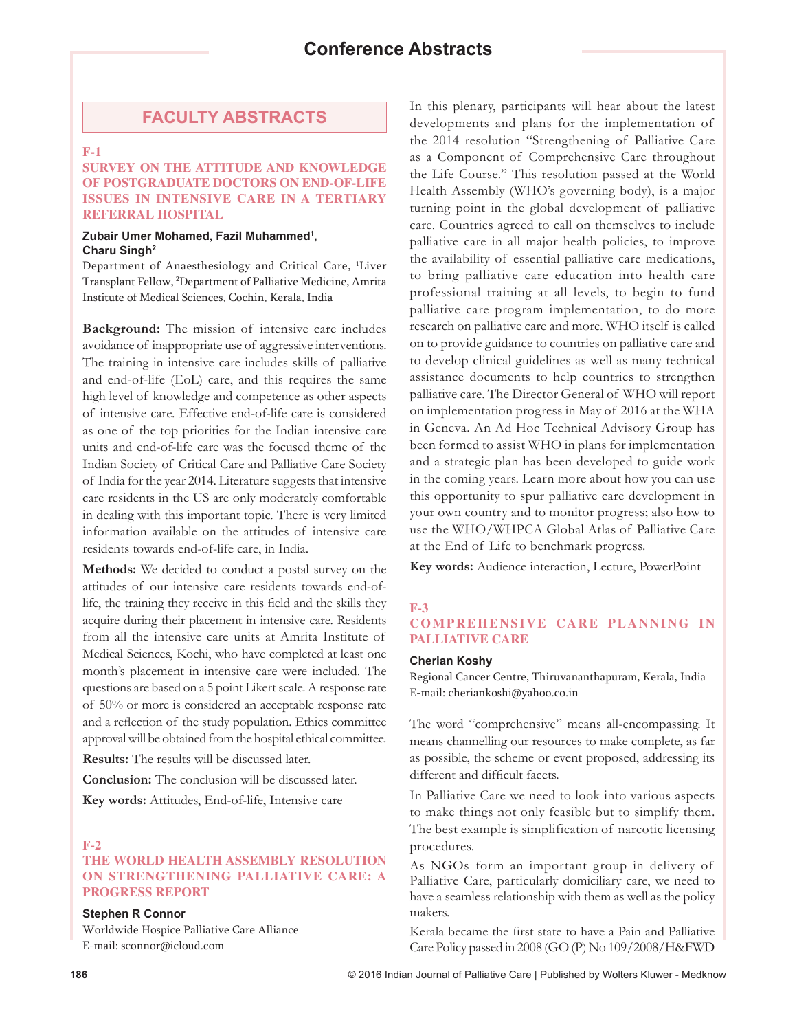# **FACULTY ABSTRACTS**

## **F-1**

### **SURVEY ON THE ATTITUDE AND KNOWLEDGE OF POSTGRADUATE DOCTORS ON END-OF-LIFE ISSUES IN INTENSIVE CARE IN A TERTIARY REFERRAL HOSPITAL**

#### **Zubair Umer Mohamed, Fazil Muhammed1 , Charu Singh2**

Department of Anaesthesiology and Critical Care, 1 Liver Transplant Fellow, 2 Department of Palliative Medicine, Amrita Institute of Medical Sciences, Cochin, Kerala, India

**Background:** The mission of intensive care includes avoidance of inappropriate use of aggressive interventions. The training in intensive care includes skills of palliative and end-of-life (EoL) care, and this requires the same high level of knowledge and competence as other aspects of intensive care. Effective end-of-life care is considered as one of the top priorities for the Indian intensive care units and end-of-life care was the focused theme of the Indian Society of Critical Care and Palliative Care Society of India for the year 2014. Literature suggests that intensive care residents in the US are only moderately comfortable in dealing with this important topic. There is very limited information available on the attitudes of intensive care residents towards end-of-life care, in India.

**Methods:** We decided to conduct a postal survey on the attitudes of our intensive care residents towards end-oflife, the training they receive in this field and the skills they acquire during their placement in intensive care. Residents from all the intensive care units at Amrita Institute of Medical Sciences, Kochi, who have completed at least one month's placement in intensive care were included. The questions are based on a 5 point Likert scale. A response rate of 50% or more is considered an acceptable response rate and a reflection of the study population. Ethics committee approval will be obtained from the hospital ethical committee.

**Results:** The results will be discussed later.

**Conclusion:** The conclusion will be discussed later.

**Key words:** Attitudes, End-of-life, Intensive care

#### **F-2**

## **THE WORLD HEALTH ASSEMBLY RESOLUTION ON STRENGTHENING PALLIATIVE CARE: A PROGRESS REPORT**

#### **Stephen R Connor**

Worldwide Hospice Palliative Care Alliance E-mail: sconnor@icloud.com

In this plenary, participants will hear about the latest developments and plans for the implementation of the 2014 resolution "Strengthening of Palliative Care as a Component of Comprehensive Care throughout the Life Course." This resolution passed at the World Health Assembly (WHO's governing body), is a major turning point in the global development of palliative care. Countries agreed to call on themselves to include palliative care in all major health policies, to improve the availability of essential palliative care medications, to bring palliative care education into health care professional training at all levels, to begin to fund palliative care program implementation, to do more research on palliative care and more. WHO itself is called on to provide guidance to countries on palliative care and to develop clinical guidelines as well as many technical assistance documents to help countries to strengthen palliative care. The Director General of WHO will report on implementation progress in May of 2016 at the WHA in Geneva. An Ad Hoc Technical Advisory Group has been formed to assist WHO in plans for implementation and a strategic plan has been developed to guide work in the coming years. Learn more about how you can use this opportunity to spur palliative care development in your own country and to monitor progress; also how to use the WHO/WHPCA Global Atlas of Palliative Care at the End of Life to benchmark progress.

**Key words:** Audience interaction, Lecture, PowerPoint

#### **F-3**

### **COMPREHENSIVE CARE PLANNING IN PALLIATIVE CARE**

#### **Cherian Koshy**

Regional Cancer Centre, Thiruvananthapuram, Kerala, India E-mail: cheriankoshi@yahoo.co.in

The word "comprehensive" means all-encompassing. It means channelling our resources to make complete, as far as possible, the scheme or event proposed, addressing its different and difficult facets.

In Palliative Care we need to look into various aspects to make things not only feasible but to simplify them. The best example is simplification of narcotic licensing procedures.

As NGOs form an important group in delivery of Palliative Care, particularly domiciliary care, we need to have a seamless relationship with them as well as the policy makers.

Kerala became the first state to have a Pain and Palliative Care Policy passed in 2008 (GO (P) No 109/2008/H&FWD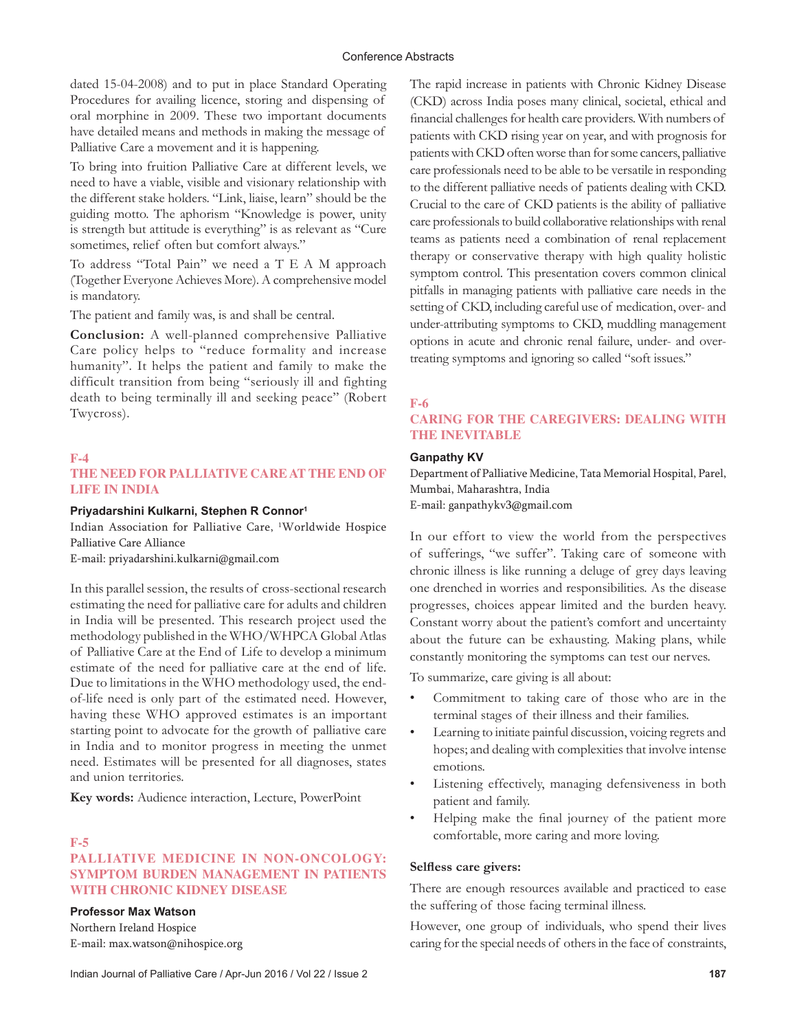dated 15-04-2008) and to put in place Standard Operating Procedures for availing licence, storing and dispensing of oral morphine in 2009. These two important documents have detailed means and methods in making the message of Palliative Care a movement and it is happening.

To bring into fruition Palliative Care at different levels, we need to have a viable, visible and visionary relationship with the different stake holders. "Link, liaise, learn" should be the guiding motto. The aphorism "Knowledge is power, unity is strength but attitude is everything" is as relevant as "Cure sometimes, relief often but comfort always."

To address "Total Pain" we need a T E A M approach (Together Everyone Achieves More). A comprehensive model is mandatory.

The patient and family was, is and shall be central.

**Conclusion:** A well-planned comprehensive Palliative Care policy helps to "reduce formality and increase humanity". It helps the patient and family to make the difficult transition from being "seriously ill and fighting death to being terminally ill and seeking peace" (Robert Twycross).

## **F-4**

## **THE NEED FOR PALLIATIVE CARE AT THE END OF LIFE IN INDIA**

#### **Priyadarshini Kulkarni, Stephen R Connor1**

Indian Association for Palliative Care, <sup>1</sup>Worldwide Hospice Palliative Care Alliance

E-mail: priyadarshini.kulkarni@gmail.com

In this parallel session, the results of cross-sectional research estimating the need for palliative care for adults and children in India will be presented. This research project used the methodology published in the WHO/WHPCA Global Atlas of Palliative Care at the End of Life to develop a minimum estimate of the need for palliative care at the end of life. Due to limitations in the WHO methodology used, the endof-life need is only part of the estimated need. However, having these WHO approved estimates is an important starting point to advocate for the growth of palliative care in India and to monitor progress in meeting the unmet need. Estimates will be presented for all diagnoses, states and union territories.

**Key words:** Audience interaction, Lecture, PowerPoint

#### **F-5**

## **PALLIATIVE MEDICINE IN NON-ONCOLOGY: SYMPTOM BURDEN MANAGEMENT IN PATIENTS WITH CHRONIC KIDNEY DISEASE**

#### **Professor Max Watson**

Northern Ireland Hospice E-mail: max.watson@nihospice.org The rapid increase in patients with Chronic Kidney Disease (CKD) across India poses many clinical, societal, ethical and financial challenges for health care providers. With numbers of patients with CKD rising year on year, and with prognosis for patients with CKD often worse than for some cancers, palliative care professionals need to be able to be versatile in responding to the different palliative needs of patients dealing with CKD. Crucial to the care of CKD patients is the ability of palliative care professionals to build collaborative relationships with renal teams as patients need a combination of renal replacement therapy or conservative therapy with high quality holistic symptom control. This presentation covers common clinical pitfalls in managing patients with palliative care needs in the setting of CKD, including careful use of medication, over- and under-attributing symptoms to CKD, muddling management options in acute and chronic renal failure, under- and overtreating symptoms and ignoring so called "soft issues."

#### **F-6**

## **CARING FOR THE CAREGIVERS: DEALING WITH THE INEVITABLE**

#### **Ganpathy KV**

Department of Palliative Medicine, Tata Memorial Hospital, Parel, Mumbai, Maharashtra, India E-mail: ganpathykv3@gmail.com

In our effort to view the world from the perspectives of sufferings, "we suffer". Taking care of someone with chronic illness is like running a deluge of grey days leaving one drenched in worries and responsibilities. As the disease progresses, choices appear limited and the burden heavy. Constant worry about the patient's comfort and uncertainty about the future can be exhausting. Making plans, while constantly monitoring the symptoms can test our nerves.

To summarize, care giving is all about:

- Commitment to taking care of those who are in the terminal stages of their illness and their families.
- Learning to initiate painful discussion, voicing regrets and hopes; and dealing with complexities that involve intense emotions.
- Listening effectively, managing defensiveness in both patient and family.
- Helping make the final journey of the patient more comfortable, more caring and more loving.

#### **Selfless care givers:**

There are enough resources available and practiced to ease the suffering of those facing terminal illness.

However, one group of individuals, who spend their lives caring for the special needs of others in the face of constraints,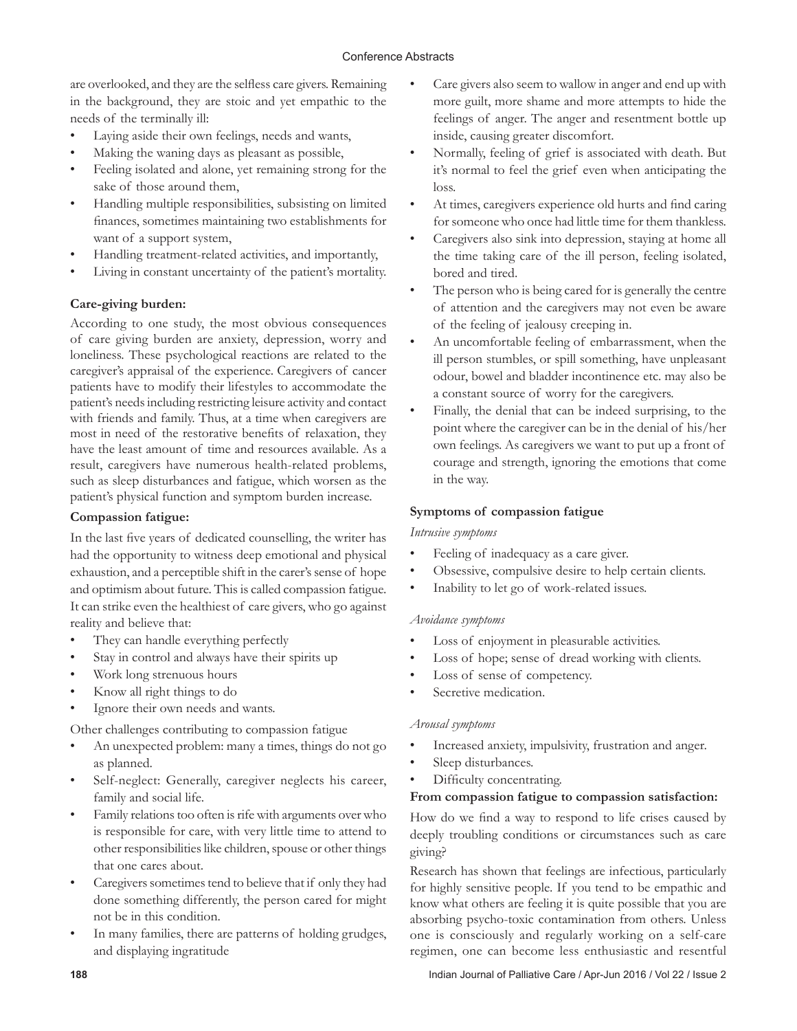are overlooked, and they are the selfless care givers. Remaining in the background, they are stoic and yet empathic to the needs of the terminally ill:

- Laying aside their own feelings, needs and wants,
- Making the waning days as pleasant as possible,
- Feeling isolated and alone, yet remaining strong for the sake of those around them,
- Handling multiple responsibilities, subsisting on limited finances, sometimes maintaining two establishments for want of a support system,
- Handling treatment-related activities, and importantly,
- Living in constant uncertainty of the patient's mortality.

## **Care-giving burden:**

According to one study, the most obvious consequences of care giving burden are anxiety, depression, worry and loneliness. These psychological reactions are related to the caregiver's appraisal of the experience. Caregivers of cancer patients have to modify their lifestyles to accommodate the patient's needs including restricting leisure activity and contact with friends and family. Thus, at a time when caregivers are most in need of the restorative benefits of relaxation, they have the least amount of time and resources available. As a result, caregivers have numerous health-related problems, such as sleep disturbances and fatigue, which worsen as the patient's physical function and symptom burden increase.

## **Compassion fatigue:**

In the last five years of dedicated counselling, the writer has had the opportunity to witness deep emotional and physical exhaustion, and a perceptible shift in the carer's sense of hope and optimism about future. This is called compassion fatigue. It can strike even the healthiest of care givers, who go against reality and believe that:

- They can handle everything perfectly
- Stay in control and always have their spirits up
- Work long strenuous hours
- Know all right things to do
- Ignore their own needs and wants.

Other challenges contributing to compassion fatigue

- An unexpected problem: many a times, things do not go as planned.
- Self-neglect: Generally, caregiver neglects his career, family and social life.
- Family relations too often is rife with arguments over who is responsible for care, with very little time to attend to other responsibilities like children, spouse or other things that one cares about.
- Caregivers sometimes tend to believe that if only they had done something differently, the person cared for might not be in this condition.
- In many families, there are patterns of holding grudges, and displaying ingratitude
- Care givers also seem to wallow in anger and end up with more guilt, more shame and more attempts to hide the feelings of anger. The anger and resentment bottle up inside, causing greater discomfort.
- Normally, feeling of grief is associated with death. But it's normal to feel the grief even when anticipating the loss.
- At times, caregivers experience old hurts and find caring for someone who once had little time for them thankless.
- Caregivers also sink into depression, staying at home all the time taking care of the ill person, feeling isolated, bored and tired.
- The person who is being cared for is generally the centre of attention and the caregivers may not even be aware of the feeling of jealousy creeping in.
- An uncomfortable feeling of embarrassment, when the ill person stumbles, or spill something, have unpleasant odour, bowel and bladder incontinence etc. may also be a constant source of worry for the caregivers.
- Finally, the denial that can be indeed surprising, to the point where the caregiver can be in the denial of his/her own feelings. As caregivers we want to put up a front of courage and strength, ignoring the emotions that come in the way.

## **Symptoms of compassion fatigue**

## *Intrusive symptoms*

- Feeling of inadequacy as a care giver.
- Obsessive, compulsive desire to help certain clients.
- Inability to let go of work-related issues.

## *Avoidance symptoms*

- Loss of enjoyment in pleasurable activities.
- Loss of hope; sense of dread working with clients.
- Loss of sense of competency.
- Secretive medication.

## *Arousal symptoms*

- Increased anxiety, impulsivity, frustration and anger.
- Sleep disturbances.
- Difficulty concentrating.

## **From compassion fatigue to compassion satisfaction:**

How do we find a way to respond to life crises caused by deeply troubling conditions or circumstances such as care giving?

Research has shown that feelings are infectious, particularly for highly sensitive people. If you tend to be empathic and know what others are feeling it is quite possible that you are absorbing psycho-toxic contamination from others. Unless one is consciously and regularly working on a self-care regimen, one can become less enthusiastic and resentful